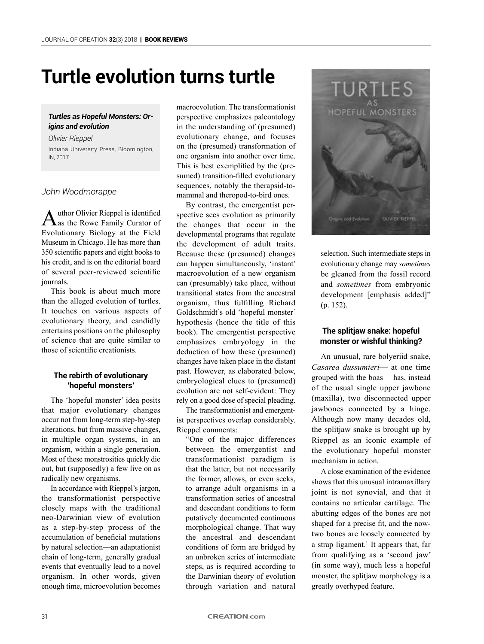# **Turtle evolution turns turtle**

## *Turtles as Hopeful Monsters: Origins and evolution*

*Olivier Rieppel* Indiana University Press, Bloomington, IN, 2017

## *John Woodmorappe*

Author Olivier Rieppel is identified<br>as the Rowe Family Curator of Evolutionary Biology at the Field Museum in Chicago. He has more than 350 scientific papers and eight books to his credit, and is on the editorial board of several peer-reviewed scientific journals.

This book is about much more than the alleged evolution of turtles. It touches on various aspects of evolutionary theory, and candidly entertains positions on the philosophy of science that are quite similar to those of scientific creationists.

# **The rebirth of evolutionary 'hopeful monsters'**

The 'hopeful monster' idea posits that major evolutionary changes occur not from long-term step-by-step alterations, but from massive changes, in multiple organ systems, in an organism, within a single generation. Most of these monstrosities quickly die out, but (supposedly) a few live on as radically new organisms.

In accordance with Rieppel's jargon, the transformationist perspective closely maps with the traditional neo-Darwinian view of evolution as a step-by-step process of the accumulation of beneficial mutations by natural selection—an adaptationist chain of long-term, generally gradual events that eventually lead to a novel organism. In other words, given enough time, microevolution becomes

macroevolution. The transformationist perspective emphasizes paleontology in the understanding of (presumed) evolutionary change, and focuses on the (presumed) transformation of one organism into another over time. This is best exemplified by the (presumed) transition-filled evolutionary sequences, notably the therapsid-tomammal and theropod-to-bird ones.

By contrast, the emergentist perspective sees evolution as primarily the changes that occur in the developmental programs that regulate the development of adult traits. Because these (presumed) changes can happen simultaneously, 'instant' macroevolution of a new organism can (presumably) take place, without transitional states from the ancestral organism, thus fulfilling Richard Goldschmidt's old 'hopeful monster' hypothesis (hence the title of this book). The emergentist perspective emphasizes embryology in the deduction of how these (presumed) changes have taken place in the distant past. However, as elaborated below, embryological clues to (presumed) evolution are not self-evident: They rely on a good dose of special pleading.

The transformationist and emergentist perspectives overlap considerably. Rieppel comments:

"One of the major differences between the emergentist and transformationist paradigm is that the latter, but not necessarily the former, allows, or even seeks, to arrange adult organisms in a transformation series of ancestral and descendant conditions to form putatively documented continuous morphological change. That way the ancestral and descendant conditions of form are bridged by an unbroken series of intermediate steps, as is required according to the Darwinian theory of evolution through variation and natural



selection. Such intermediate steps in evolutionary change may *sometimes* be gleaned from the fossil record and *sometimes* from embryonic development [emphasis added]" (p. 152).

# **The splitjaw snake: hopeful monster or wishful thinking?**

An unusual, rare bolyeriid snake, *Casarea dussumieri*— at one time grouped with the boas— has, instead of the usual single upper jawbone (maxilla), two disconnected upper jawbones connected by a hinge. Although now many decades old, the splitjaw snake is brought up by Rieppel as an iconic example of the evolutionary hopeful monster mechanism in action.

A close examination of the evidence shows that this unusual intramaxillary joint is not synovial, and that it contains no articular cartilage. The abutting edges of the bones are not shaped for a precise fit, and the nowtwo bones are loosely connected by a strap ligament.<sup>1</sup> It appears that, far from qualifying as a 'second jaw' (in some way), much less a hopeful monster, the splitjaw morphology is a greatly overhyped feature.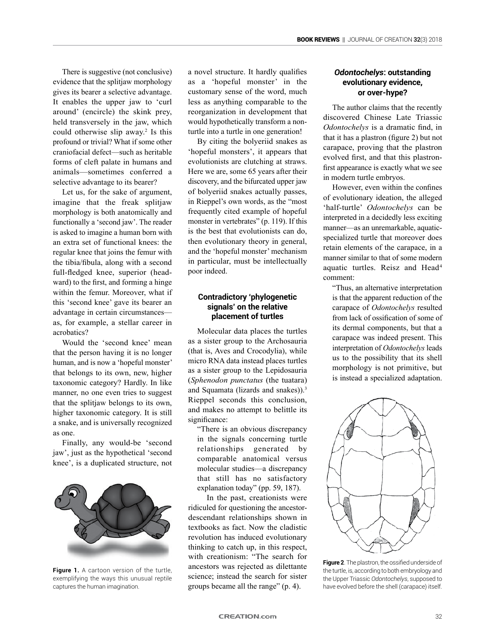There is suggestive (not conclusive) evidence that the splitjaw morphology gives its bearer a selective advantage. It enables the upper jaw to 'curl around' (encircle) the skink prey, held transversely in the jaw, which could otherwise slip away.<sup>2</sup> Is this profound or trivial? What if some other craniofacial defect—such as heritable forms of cleft palate in humans and animals—sometimes conferred a selective advantage to its bearer?

Let us, for the sake of argument, imagine that the freak splitjaw morphology is both anatomically and functionally a 'second jaw'. The reader is asked to imagine a human born with an extra set of functional knees: the regular knee that joins the femur with the tibia/fibula, along with a second full-fledged knee, superior (headward) to the first, and forming a hinge within the femur. Moreover, what if this 'second knee' gave its bearer an advantage in certain circumstances as, for example, a stellar career in acrobatics?

Would the 'second knee' mean that the person having it is no longer human, and is now a 'hopeful monster' that belongs to its own, new, higher taxonomic category? Hardly. In like manner, no one even tries to suggest that the splitjaw belongs to its own, higher taxonomic category. It is still a snake, and is universally recognized as one.

Finally, any would-be 'second jaw', just as the hypothetical 'second knee', is a duplicated structure, not



**Figure 1.** A cartoon version of the turtle, exemplifying the ways this unusual reptile captures the human imagination.

a novel structure. It hardly qualifies as a 'hopeful monster' in the customary sense of the word, much less as anything comparable to the reorganization in development that would hypothetically transform a nonturtle into a turtle in one generation!

By citing the bolyeriid snakes as 'hopeful monsters', it appears that evolutionists are clutching at straws. Here we are, some 65 years after their discovery, and the bifurcated upper jaw of bolyeriid snakes actually passes, in Rieppel's own words, as the "most frequently cited example of hopeful monster in vertebrates" (p. 119). If this is the best that evolutionists can do, then evolutionary theory in general, and the 'hopeful monster' mechanism in particular, must be intellectually poor indeed.

## **Contradictory 'phylogenetic signals' on the relative placement of turtles**

Molecular data places the turtles as a sister group to the Archosauria (that is, Aves and Crocodylia), while micro RNA data instead places turtles as a sister group to the Lepidosauria (*Sphenodon punctatus* (the tuatara) and Squamata (lizards and snakes)).<sup>3</sup> Rieppel seconds this conclusion, and makes no attempt to belittle its significance:

"There is an obvious discrepancy in the signals concerning turtle relationships generated by comparable anatomical versus molecular studies—a discrepancy that still has no satisfactory explanation today" (pp. 59, 187).

In the past, creationists were ridiculed for questioning the ancestordescendant relationships shown in textbooks as fact. Now the cladistic revolution has induced evolutionary thinking to catch up, in this respect, with creationism: "The search for ancestors was rejected as dilettante science; instead the search for sister groups became all the range" (p. 4).

# *Odontochelys***: outstanding evolutionary evidence, or over-hype?**

The author claims that the recently discovered Chinese Late Triassic *Odontochelys* is a dramatic find, in that it has a plastron (figure 2) but not carapace, proving that the plastron evolved first, and that this plastronfirst appearance is exactly what we see in modern turtle embryos.

However, even within the confines of evolutionary ideation, the alleged 'half-turtle' *Odontochelys* can be interpreted in a decidedly less exciting manner—as an unremarkable, aquaticspecialized turtle that moreover does retain elements of the carapace, in a manner similar to that of some modern aquatic turtles. Reisz and Head<sup>4</sup> comment:

"Thus, an alternative interpretation is that the apparent reduction of the carapace of *Odontochelys* resulted from lack of ossification of some of its dermal components, but that a carapace was indeed present. This interpretation of *Odontochelys* leads us to the possibility that its shell morphology is not primitive, but is instead a specialized adaptation.



**Figure 2**. The plastron, the ossified underside of the turtle, is, according to both embryology and the Upper Triassic *Odontochelys*, supposed to have evolved before the shell (carapace) itself.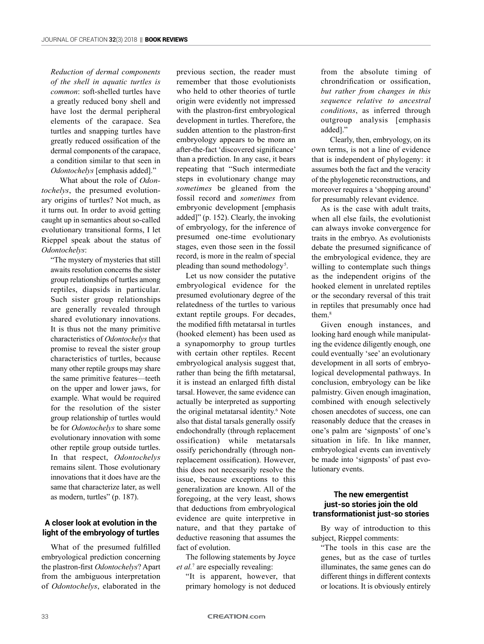*Reduction of dermal components of the shell in aquatic turtles is common*: soft-shelled turtles have a greatly reduced bony shell and have lost the dermal peripheral elements of the carapace. Sea turtles and snapping turtles have greatly reduced ossification of the dermal components of the carapace, a condition similar to that seen in *Odontochelys* [emphasis added]."

What about the role of *Odontochelys*, the presumed evolutionary origins of turtles? Not much, as it turns out. In order to avoid getting caught up in semantics about so-called evolutionary transitional forms, I let Rieppel speak about the status of *Odontochelys*:

"The mystery of mysteries that still awaits resolution concerns the sister group relationships of turtles among reptiles, diapsids in particular. Such sister group relationships are generally revealed through shared evolutionary innovations. It is thus not the many primitive characteristics of *Odontochelys* that promise to reveal the sister group characteristics of turtles, because many other reptile groups may share the same primitive features—teeth on the upper and lower jaws, for example. What would be required for the resolution of the sister group relationship of turtles would be for *Odontochelys* to share some evolutionary innovation with some other reptile group outside turtles. In that respect, *Odontochelys* remains silent. Those evolutionary innovations that it does have are the same that characterize later, as well as modern, turtles" (p. 187).

# **A closer look at evolution in the light of the embryology of turtles**

What of the presumed fulfilled embryological prediction concerning the plastron-first *Odontochelys*? Apart from the ambiguous interpretation of *Odontochelys*, elaborated in the previous section, the reader must remember that those evolutionists who held to other theories of turtle origin were evidently not impressed with the plastron-first embryological development in turtles. Therefore, the sudden attention to the plastron-first embryology appears to be more an after-the-fact 'discovered significance' than a prediction. In any case, it bears repeating that "Such intermediate steps in evolutionary change may *sometimes* be gleaned from the fossil record and *sometimes* from embryonic development [emphasis added]" (p. 152). Clearly, the invoking of embryology, for the inference of presumed one-time evolutionary stages, even those seen in the fossil record, is more in the realm of special pleading than sound methodology<sup>5</sup>.

Let us now consider the putative embryological evidence for the presumed evolutionary degree of the relatedness of the turtles to various extant reptile groups. For decades, the modified fifth metatarsal in turtles (hooked element) has been used as a synapomorphy to group turtles with certain other reptiles. Recent embryological analysis suggest that, rather than being the fifth metatarsal, it is instead an enlarged fifth distal tarsal. However, the same evidence can actually be interpreted as supporting the original metatarsal identity.6 Note also that distal tarsals generally ossify endochondrally (through replacement ossification) while metatarsals ossify perichondrally (through nonreplacement ossification). However, this does not necessarily resolve the issue, because exceptions to this generalization are known. All of the foregoing, at the very least, shows that deductions from embryological evidence are quite interpretive in nature, and that they partake of deductive reasoning that assumes the fact of evolution.

The following statements by Joyce et al.<sup>7</sup> are especially revealing:

"It is apparent, however, that primary homology is not deduced from the absolute timing of chrondrification or ossification, *but rather from changes in this sequence relative to ancestral conditions*, as inferred through outgroup analysis [emphasis added]."

Clearly, then, embryology, on its own terms, is not a line of evidence that is independent of phylogeny: it assumes both the fact and the veracity of the phylogenetic reconstructions, and moreover requires a 'shopping around' for presumably relevant evidence.

As is the case with adult traits, when all else fails, the evolutionist can always invoke convergence for traits in the embryo. As evolutionists debate the presumed significance of the embryological evidence, they are willing to contemplate such things as the independent origins of the hooked element in unrelated reptiles or the secondary reversal of this trait in reptiles that presumably once had them.<sup>8</sup>

Given enough instances, and looking hard enough while manipulating the evidence diligently enough, one could eventually 'see' an evolutionary development in all sorts of embryological developmental pathways. In conclusion, embryology can be like palmistry. Given enough imagination, combined with enough selectively chosen anecdotes of success, one can reasonably deduce that the creases in one's palm are 'signposts' of one's situation in life. In like manner, embryological events can inventively be made into 'signposts' of past evolutionary events.

# **The new emergentist just-so stories join the old transformationist just-so stories**

By way of introduction to this subject, Rieppel comments:

"The tools in this case are the genes, but as the case of turtles illuminates, the same genes can do different things in different contexts or locations. It is obviously entirely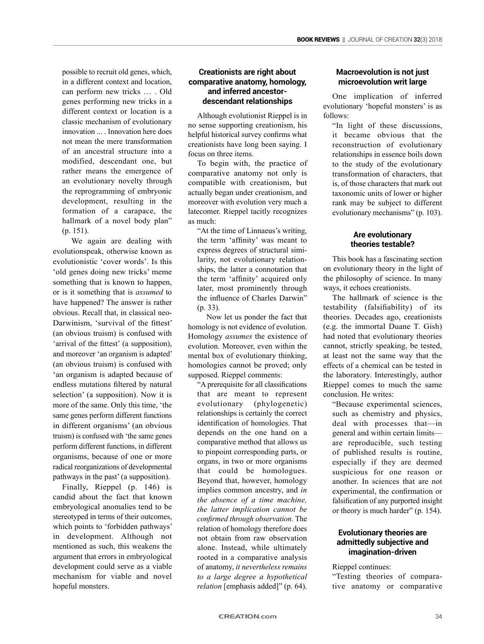possible to recruit old genes, which, in a different context and location, can perform new tricks … . Old genes performing new tricks in a different context or location is a classic mechanism of evolutionary innovation ... Innovation here does not mean the mere transformation of an ancestral structure into a modified, descendant one, but rather means the emergence of an evolutionary novelty through the reprogramming of embryonic development, resulting in the formation of a carapace, the hallmark of a novel body plan" (p. 151).

We again are dealing with evolutionspeak, otherwise known as evolutionistic 'cover words'. Is this 'old genes doing new tricks' meme something that is known to happen, or is it something that is *assumed* to have happened? The answer is rather obvious. Recall that, in classical neo-Darwinism, 'survival of the fittest' (an obvious truism) is confused with 'arrival of the fittest' (a supposition), and moreover 'an organism is adapted' (an obvious truism) is confused with 'an organism is adapted because of endless mutations filtered by natural selection' (a supposition). Now it is more of the same. Only this time, 'the same genes perform different functions in different organisms' (an obvious truism) is confused with 'the same genes perform different functions, in different organisms, because of one or more radical reorganizations of developmental pathways in the past' (a supposition).

Finally, Rieppel (p. 146) is candid about the fact that known embryological anomalies tend to be stereotyped in terms of their outcomes, which points to 'forbidden pathways' in development. Although not mentioned as such, this weakens the argument that errors in embryological development could serve as a viable mechanism for viable and novel hopeful monsters.

# **Creationists are right about comparative anatomy, homology, and inferred ancestordescendant relationships**

Although evolutionist Rieppel is in no sense supporting creationism, his helpful historical survey confirms what creationists have long been saying. I focus on three items.

To begin with, the practice of comparative anatomy not only is compatible with creationism, but actually began under creationism, and moreover with evolution very much a latecomer. Rieppel tacitly recognizes as much:

"At the time of Linnaeus's writing, the term 'affinity' was meant to express degrees of structural similarity, not evolutionary relationships, the latter a connotation that the term 'affinity' acquired only later, most prominently through the influence of Charles Darwin" (p. 33).

Now let us ponder the fact that homology is not evidence of evolution. Homology *assumes* the existence of evolution. Moreover, even within the mental box of evolutionary thinking, homologies cannot be proved; only supposed. Rieppel comments:

"A prerequisite for all classifications that are meant to represent evolutionary (phylogenetic) relationships is certainly the correct identification of homologies. That depends on the one hand on a comparative method that allows us to pinpoint corresponding parts, or organs, in two or more organisms that could be homologues. Beyond that, however, homology implies common ancestry, and *in the absence of a time machine, the latter implication cannot be confirmed through observation.* The relation of homology therefore does not obtain from raw observation alone. Instead, while ultimately rooted in a comparative analysis of anatomy, *it nevertheless remains to a large degree a hypothetical relation* [emphasis added]" (p. 64).

# **Macroevolution is not just microevolution writ large**

One implication of inferred evolutionary 'hopeful monsters' is as follows:

"In light of these discussions, it became obvious that the reconstruction of evolutionary relationships in essence boils down to the study of the evolutionary transformation of characters, that is, of those characters that mark out taxonomic units of lower or higher rank may be subject to different evolutionary mechanisms" (p. 103).

# **Are evolutionary theories testable?**

This book has a fascinating section on evolutionary theory in the light of the philosophy of science. In many ways, it echoes creationists.

The hallmark of science is the testability (falsifiability) of its theories. Decades ago, creationists (e.g. the immortal Duane T. Gish) had noted that evolutionary theories cannot, strictly speaking, be tested, at least not the same way that the effects of a chemical can be tested in the laboratory. Interestingly, author Rieppel comes to much the same conclusion. He writes:

"Because experimental sciences, such as chemistry and physics, deal with processes that—in general and within certain limits are reproducible, such testing of published results is routine, especially if they are deemed suspicious for one reason or another. In sciences that are not experimental, the confirmation or falsification of any purported insight or theory is much harder" (p. 154).

## **Evolutionary theories are admittedly subjective and imagination-driven**

Rieppel continues:

"Testing theories of comparative anatomy or comparative